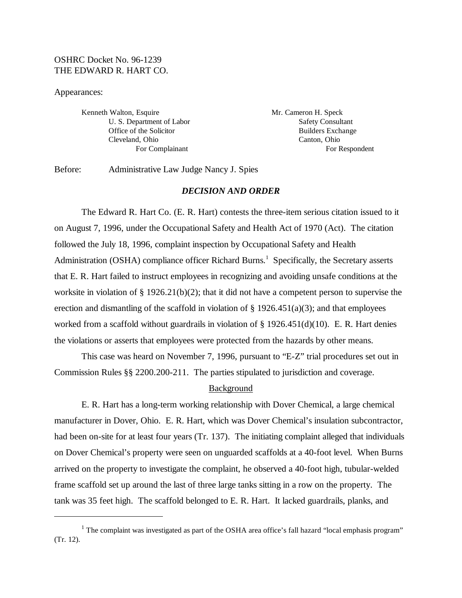# OSHRC Docket No. 96-1239 THE EDWARD R. HART CO.

#### Appearances:

Kenneth Walton, Esquire Mr. Cameron H. Speck U. S. Department of Labor Safety Consultant Cleveland, Ohio Canton, Ohio

Office of the Solicitor Builders Exchange For Complainant For Respondent

Before: Administrative Law Judge Nancy J. Spies

## *DECISION AND ORDER*

The Edward R. Hart Co. (E. R. Hart) contests the three-item serious citation issued to it on August 7, 1996, under the Occupational Safety and Health Act of 1970 (Act). The citation followed the July 18, 1996, complaint inspection by Occupational Safety and Health Administration (OSHA) compliance officer Richard Burns.<sup>1</sup> Specifically, the Secretary asserts that E. R. Hart failed to instruct employees in recognizing and avoiding unsafe conditions at the worksite in violation of § 1926.21(b)(2); that it did not have a competent person to supervise the erection and dismantling of the scaffold in violation of  $\S$  1926.451(a)(3); and that employees worked from a scaffold without guardrails in violation of  $\S 1926.451(d)(10)$ . E. R. Hart denies the violations or asserts that employees were protected from the hazards by other means.

This case was heard on November 7, 1996, pursuant to "E-Z" trial procedures set out in Commission Rules §§ 2200.200-211. The parties stipulated to jurisdiction and coverage.

## Background

E. R. Hart has a long-term working relationship with Dover Chemical, a large chemical manufacturer in Dover, Ohio. E. R. Hart, which was Dover Chemical's insulation subcontractor, had been on-site for at least four years (Tr. 137). The initiating complaint alleged that individuals on Dover Chemical's property were seen on unguarded scaffolds at a 40-foot level. When Burns arrived on the property to investigate the complaint, he observed a 40-foot high, tubular-welded frame scaffold set up around the last of three large tanks sitting in a row on the property. The tank was 35 feet high. The scaffold belonged to E. R. Hart. It lacked guardrails, planks, and

<sup>&</sup>lt;sup>1</sup> The complaint was investigated as part of the OSHA area office's fall hazard "local emphasis program" (Tr. 12).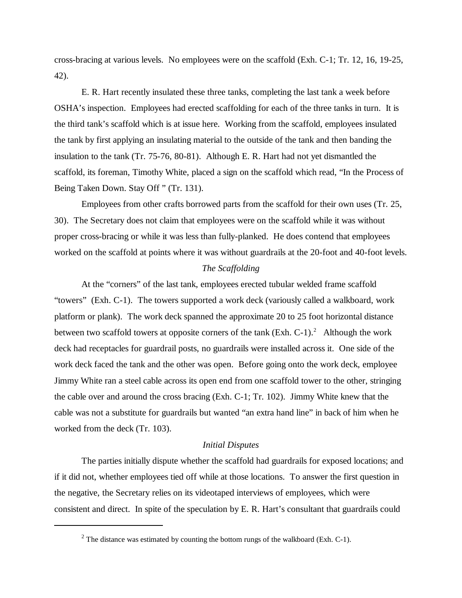cross-bracing at various levels. No employees were on the scaffold (Exh. C-1; Tr. 12, 16, 19-25, 42).

E. R. Hart recently insulated these three tanks, completing the last tank a week before OSHA's inspection. Employees had erected scaffolding for each of the three tanks in turn. It is the third tank's scaffold which is at issue here. Working from the scaffold, employees insulated the tank by first applying an insulating material to the outside of the tank and then banding the insulation to the tank (Tr. 75-76, 80-81). Although E. R. Hart had not yet dismantled the scaffold, its foreman, Timothy White, placed a sign on the scaffold which read, "In the Process of Being Taken Down. Stay Off " (Tr. 131).

Employees from other crafts borrowed parts from the scaffold for their own uses (Tr. 25, 30). The Secretary does not claim that employees were on the scaffold while it was without proper cross-bracing or while it was less than fully-planked. He does contend that employees worked on the scaffold at points where it was without guardrails at the 20-foot and 40-foot levels.

### *The Scaffolding*

At the "corners" of the last tank, employees erected tubular welded frame scaffold "towers" (Exh. C-1). The towers supported a work deck (variously called a walkboard, work platform or plank). The work deck spanned the approximate 20 to 25 foot horizontal distance between two scaffold towers at opposite corners of the tank  $(Exh. C-1).<sup>2</sup>$  Although the work deck had receptacles for guardrail posts, no guardrails were installed across it. One side of the work deck faced the tank and the other was open. Before going onto the work deck, employee Jimmy White ran a steel cable across its open end from one scaffold tower to the other, stringing the cable over and around the cross bracing (Exh. C-1; Tr. 102). Jimmy White knew that the cable was not a substitute for guardrails but wanted "an extra hand line" in back of him when he worked from the deck (Tr. 103).

## *Initial Disputes*

The parties initially dispute whether the scaffold had guardrails for exposed locations; and if it did not, whether employees tied off while at those locations. To answer the first question in the negative, the Secretary relies on its videotaped interviews of employees, which were consistent and direct. In spite of the speculation by E. R. Hart's consultant that guardrails could

<sup>&</sup>lt;sup>2</sup> The distance was estimated by counting the bottom rungs of the walkboard (Exh. C-1).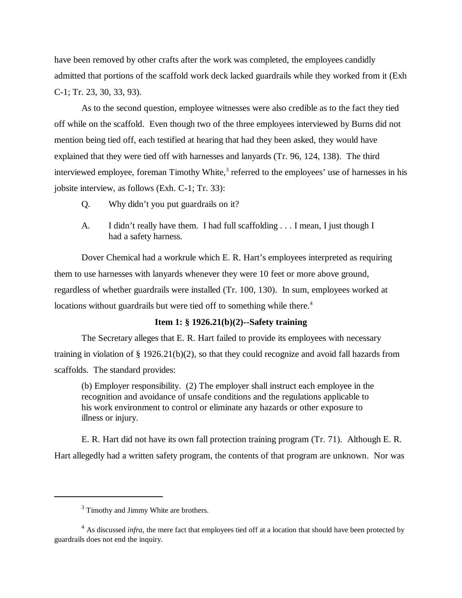have been removed by other crafts after the work was completed, the employees candidly admitted that portions of the scaffold work deck lacked guardrails while they worked from it (Exh C-1; Tr. 23, 30, 33, 93).

As to the second question, employee witnesses were also credible as to the fact they tied off while on the scaffold. Even though two of the three employees interviewed by Burns did not mention being tied off, each testified at hearing that had they been asked, they would have explained that they were tied off with harnesses and lanyards (Tr. 96, 124, 138). The third interviewed employee, foreman Timothy White,<sup>3</sup> referred to the employees' use of harnesses in his jobsite interview, as follows (Exh. C-1; Tr. 33):

- Q. Why didn't you put guardrails on it?
- A. I didn't really have them. I had full scaffolding . . . I mean, I just though I had a safety harness.

Dover Chemical had a workrule which E. R. Hart's employees interpreted as requiring them to use harnesses with lanyards whenever they were 10 feet or more above ground, regardless of whether guardrails were installed (Tr. 100, 130). In sum, employees worked at locations without guardrails but were tied off to something while there.<sup>4</sup>

# **Item 1: § 1926.21(b)(2)--Safety training**

The Secretary alleges that E. R. Hart failed to provide its employees with necessary training in violation of § 1926.21(b)(2), so that they could recognize and avoid fall hazards from scaffolds. The standard provides:

(b) Employer responsibility. (2) The employer shall instruct each employee in the recognition and avoidance of unsafe conditions and the regulations applicable to his work environment to control or eliminate any hazards or other exposure to illness or injury.

E. R. Hart did not have its own fall protection training program (Tr. 71). Although E. R. Hart allegedly had a written safety program, the contents of that program are unknown. Nor was

<sup>&</sup>lt;sup>3</sup> Timothy and Jimmy White are brothers.

<sup>&</sup>lt;sup>4</sup> As discussed *infra*, the mere fact that employees tied off at a location that should have been protected by guardrails does not end the inquiry.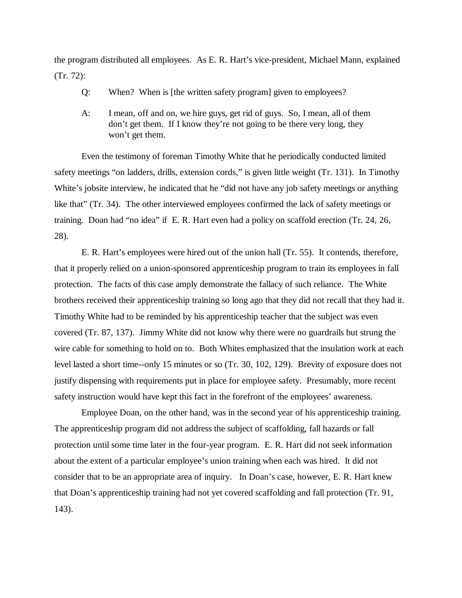the program distributed all employees. As E. R. Hart's vice-president, Michael Mann, explained (Tr. 72):

- Q: When? When is [the written safety program] given to employees?
- A: I mean, off and on, we hire guys, get rid of guys. So, I mean, all of them don't get them. If I know they're not going to be there very long, they won't get them.

Even the testimony of foreman Timothy White that he periodically conducted limited safety meetings "on ladders, drills, extension cords," is given little weight (Tr. 131). In Timothy White's jobsite interview, he indicated that he "did not have any job safety meetings or anything like that" (Tr. 34). The other interviewed employees confirmed the lack of safety meetings or training. Doan had "no idea" if E. R. Hart even had a policy on scaffold erection (Tr. 24, 26, 28).

E. R. Hart's employees were hired out of the union hall (Tr. 55). It contends, therefore, that it properly relied on a union-sponsored apprenticeship program to train its employees in fall protection. The facts of this case amply demonstrate the fallacy of such reliance. The White brothers received their apprenticeship training so long ago that they did not recall that they had it. Timothy White had to be reminded by his apprenticeship teacher that the subject was even covered (Tr. 87, 137). Jimmy White did not know why there were no guardrails but strung the wire cable for something to hold on to. Both Whites emphasized that the insulation work at each level lasted a short time--only 15 minutes or so (Tr. 30, 102, 129). Brevity of exposure does not justify dispensing with requirements put in place for employee safety. Presumably, more recent safety instruction would have kept this fact in the forefront of the employees' awareness.

Employee Doan, on the other hand, was in the second year of his apprenticeship training. The apprenticeship program did not address the subject of scaffolding, fall hazards or fall protection until some time later in the four-year program. E. R. Hart did not seek information about the extent of a particular employee's union training when each was hired. It did not consider that to be an appropriate area of inquiry. In Doan's case, however, E. R. Hart knew that Doan's apprenticeship training had not yet covered scaffolding and fall protection (Tr. 91, 143).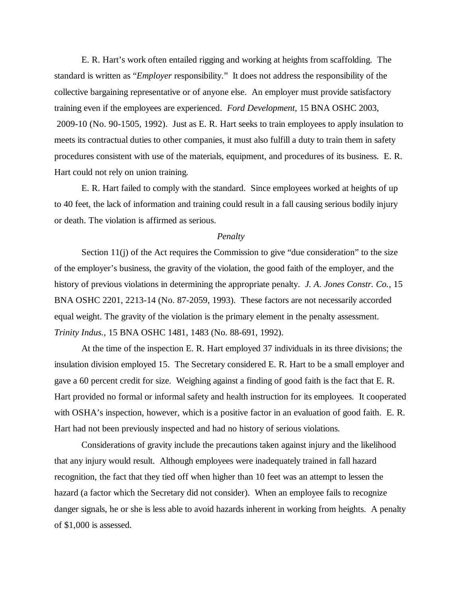E. R. Hart's work often entailed rigging and working at heights from scaffolding. The standard is written as "*Employer* responsibility." It does not address the responsibility of the collective bargaining representative or of anyone else. An employer must provide satisfactory training even if the employees are experienced. *Ford Development*, 15 BNA OSHC 2003, 2009-10 (No. 90-1505, 1992). Just as E. R. Hart seeks to train employees to apply insulation to meets its contractual duties to other companies, it must also fulfill a duty to train them in safety procedures consistent with use of the materials, equipment, and procedures of its business. E. R. Hart could not rely on union training.

E. R. Hart failed to comply with the standard. Since employees worked at heights of up to 40 feet, the lack of information and training could result in a fall causing serious bodily injury or death. The violation is affirmed as serious.

### *Penalty*

Section  $11(i)$  of the Act requires the Commission to give "due consideration" to the size of the employer's business, the gravity of the violation, the good faith of the employer, and the history of previous violations in determining the appropriate penalty. *J. A. Jones Constr. Co.,* 15 BNA OSHC 2201, 2213-14 (No. 87-2059, 1993). These factors are not necessarily accorded equal weight. The gravity of the violation is the primary element in the penalty assessment. *Trinity Indus.,* 15 BNA OSHC 1481, 1483 (No. 88-691, 1992).

At the time of the inspection E. R. Hart employed 37 individuals in its three divisions; the insulation division employed 15. The Secretary considered E. R. Hart to be a small employer and gave a 60 percent credit for size. Weighing against a finding of good faith is the fact that E. R. Hart provided no formal or informal safety and health instruction for its employees. It cooperated with OSHA's inspection, however, which is a positive factor in an evaluation of good faith. E. R. Hart had not been previously inspected and had no history of serious violations.

Considerations of gravity include the precautions taken against injury and the likelihood that any injury would result. Although employees were inadequately trained in fall hazard recognition, the fact that they tied off when higher than 10 feet was an attempt to lessen the hazard (a factor which the Secretary did not consider). When an employee fails to recognize danger signals, he or she is less able to avoid hazards inherent in working from heights. A penalty of \$1,000 is assessed.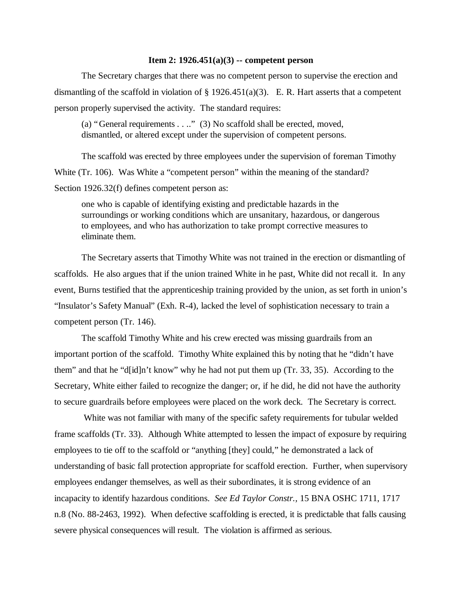### **Item 2: 1926.451(a)(3) -- competent person**

The Secretary charges that there was no competent person to supervise the erection and dismantling of the scaffold in violation of  $\S 1926.451(a)(3)$ . E. R. Hart asserts that a competent person properly supervised the activity. The standard requires:

(a) "General requirements . . .." (3) No scaffold shall be erected, moved, dismantled, or altered except under the supervision of competent persons.

The scaffold was erected by three employees under the supervision of foreman Timothy White (Tr. 106). Was White a "competent person" within the meaning of the standard? Section 1926.32(f) defines competent person as:

one who is capable of identifying existing and predictable hazards in the surroundings or working conditions which are unsanitary, hazardous, or dangerous to employees, and who has authorization to take prompt corrective measures to eliminate them.

The Secretary asserts that Timothy White was not trained in the erection or dismantling of scaffolds. He also argues that if the union trained White in he past, White did not recall it. In any event, Burns testified that the apprenticeship training provided by the union, as set forth in union's "Insulator's Safety Manual" (Exh. R-4), lacked the level of sophistication necessary to train a competent person (Tr. 146).

The scaffold Timothy White and his crew erected was missing guardrails from an important portion of the scaffold. Timothy White explained this by noting that he "didn't have them" and that he "d[id]n't know" why he had not put them up (Tr. 33, 35). According to the Secretary, White either failed to recognize the danger; or, if he did, he did not have the authority to secure guardrails before employees were placed on the work deck. The Secretary is correct.

 White was not familiar with many of the specific safety requirements for tubular welded frame scaffolds (Tr. 33). Although White attempted to lessen the impact of exposure by requiring employees to tie off to the scaffold or "anything [they] could," he demonstrated a lack of understanding of basic fall protection appropriate for scaffold erection. Further, when supervisory employees endanger themselves, as well as their subordinates, it is strong evidence of an incapacity to identify hazardous conditions. *See Ed Taylor Constr.,* 15 BNA OSHC 1711, 1717 n.8 (No. 88-2463, 1992). When defective scaffolding is erected, it is predictable that falls causing severe physical consequences will result. The violation is affirmed as serious.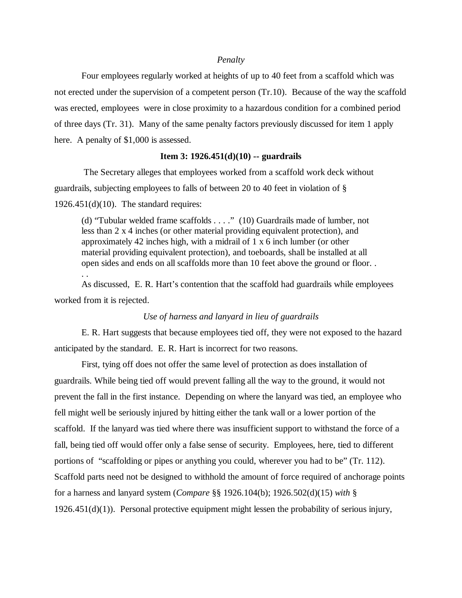#### *Penalty*

Four employees regularly worked at heights of up to 40 feet from a scaffold which was not erected under the supervision of a competent person (Tr.10). Because of the way the scaffold was erected, employees were in close proximity to a hazardous condition for a combined period of three days (Tr. 31). Many of the same penalty factors previously discussed for item 1 apply here. A penalty of \$1,000 is assessed.

### **Item 3: 1926.451(d)(10) -- guardrails**

 The Secretary alleges that employees worked from a scaffold work deck without guardrails, subjecting employees to falls of between 20 to 40 feet in violation of §  $1926.451(d)(10)$ . The standard requires:

(d) "Tubular welded frame scaffolds . . . ." (10) Guardrails made of lumber, not less than 2 x 4 inches (or other material providing equivalent protection), and approximately 42 inches high, with a midrail of 1 x 6 inch lumber (or other material providing equivalent protection), and toeboards, shall be installed at all open sides and ends on all scaffolds more than 10 feet above the ground or floor. . . .

As discussed, E. R. Hart's contention that the scaffold had guardrails while employees worked from it is rejected.

## *Use of harness and lanyard in lieu of guardrails*

E. R. Hart suggests that because employees tied off, they were not exposed to the hazard anticipated by the standard. E. R. Hart is incorrect for two reasons.

First, tying off does not offer the same level of protection as does installation of guardrails. While being tied off would prevent falling all the way to the ground, it would not prevent the fall in the first instance. Depending on where the lanyard was tied, an employee who fell might well be seriously injured by hitting either the tank wall or a lower portion of the scaffold. If the lanyard was tied where there was insufficient support to withstand the force of a fall, being tied off would offer only a false sense of security. Employees, here, tied to different portions of "scaffolding or pipes or anything you could, wherever you had to be" (Tr. 112). Scaffold parts need not be designed to withhold the amount of force required of anchorage points for a harness and lanyard system (*Compare* §§ 1926.104(b); 1926.502(d)(15) *with* §  $1926.451(d)(1)$ . Personal protective equipment might lessen the probability of serious injury,